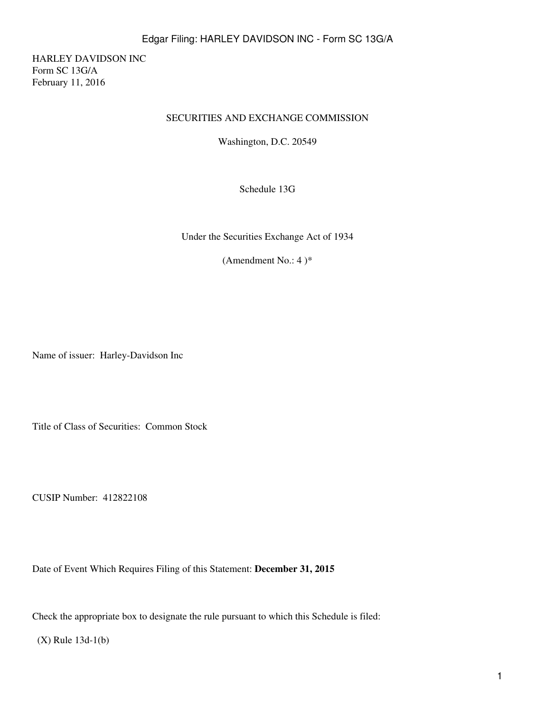HARLEY DAVIDSON INC Form SC 13G/A February 11, 2016

#### SECURITIES AND EXCHANGE COMMISSION

Washington, D.C. 20549

Schedule 13G

Under the Securities Exchange Act of 1934

(Amendment No.: 4) $*$ 

Name of issuer: Harley-Davidson Inc

Title of Class of Securities: Common Stock

CUSIP Number: 412822108

Date of Event Which Requires Filing of this Statement: **December 31, 2015**

Check the appropriate box to designate the rule pursuant to which this Schedule is filed:

(X) Rule 13d-1(b)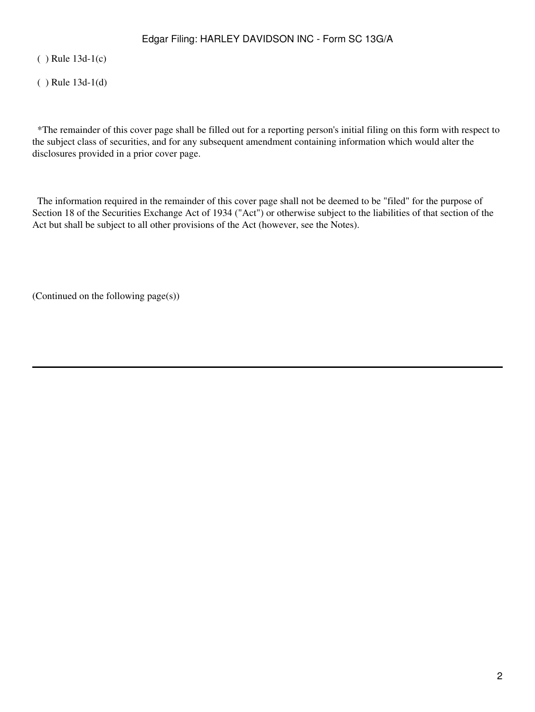( ) Rule 13d-1(c)

( ) Rule 13d-1(d)

 \*The remainder of this cover page shall be filled out for a reporting person's initial filing on this form with respect to the subject class of securities, and for any subsequent amendment containing information which would alter the disclosures provided in a prior cover page.

 The information required in the remainder of this cover page shall not be deemed to be "filed" for the purpose of Section 18 of the Securities Exchange Act of 1934 ("Act") or otherwise subject to the liabilities of that section of the Act but shall be subject to all other provisions of the Act (however, see the Notes).

(Continued on the following page(s))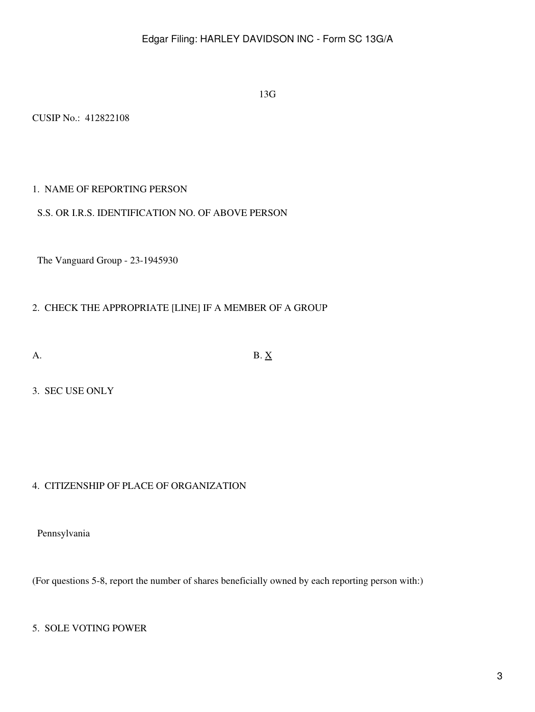13G

CUSIP No.: 412822108

## 1. NAME OF REPORTING PERSON

## S.S. OR I.R.S. IDENTIFICATION NO. OF ABOVE PERSON

The Vanguard Group - 23-1945930

## 2. CHECK THE APPROPRIATE [LINE] IF A MEMBER OF A GROUP

A. B.  $\underline{X}$ 

3. SEC USE ONLY

# 4. CITIZENSHIP OF PLACE OF ORGANIZATION

Pennsylvania

(For questions 5-8, report the number of shares beneficially owned by each reporting person with:)

## 5. SOLE VOTING POWER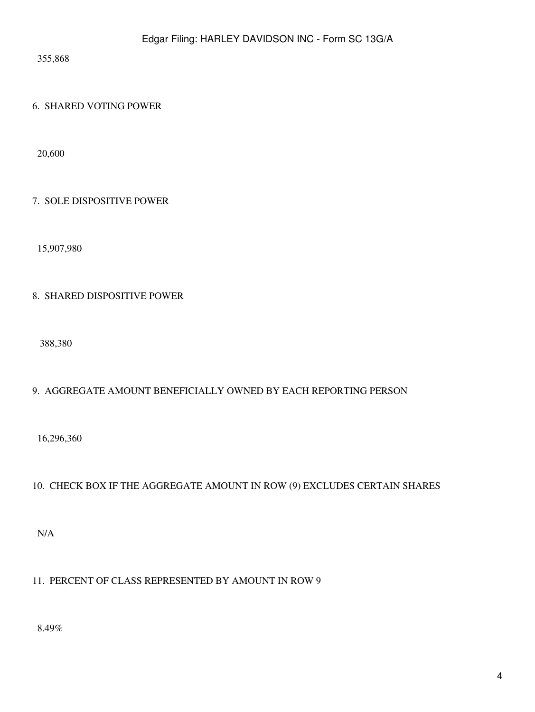355,868

# 6. SHARED VOTING POWER

20,600

# 7. SOLE DISPOSITIVE POWER

15,907,980

# 8. SHARED DISPOSITIVE POWER

388,380

# 9. AGGREGATE AMOUNT BENEFICIALLY OWNED BY EACH REPORTING PERSON

16,296,360

# 10. CHECK BOX IF THE AGGREGATE AMOUNT IN ROW (9) EXCLUDES CERTAIN SHARES

N/A

# 11. PERCENT OF CLASS REPRESENTED BY AMOUNT IN ROW 9

8.49%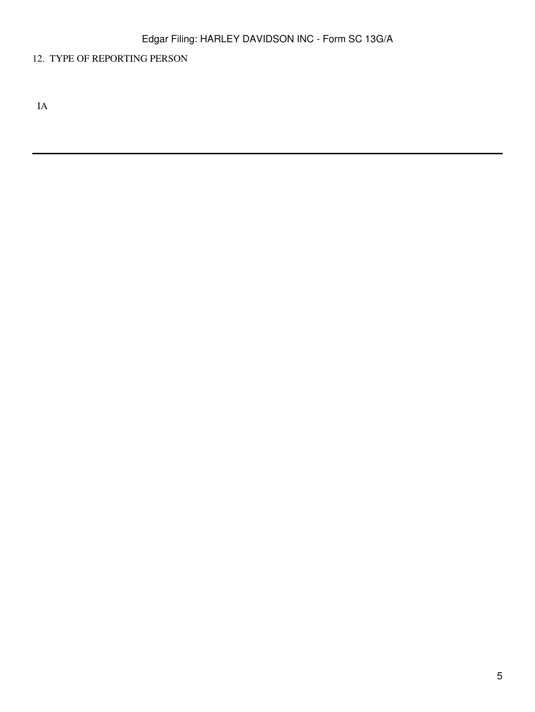# 12. TYPE OF REPORTING PERSON

IA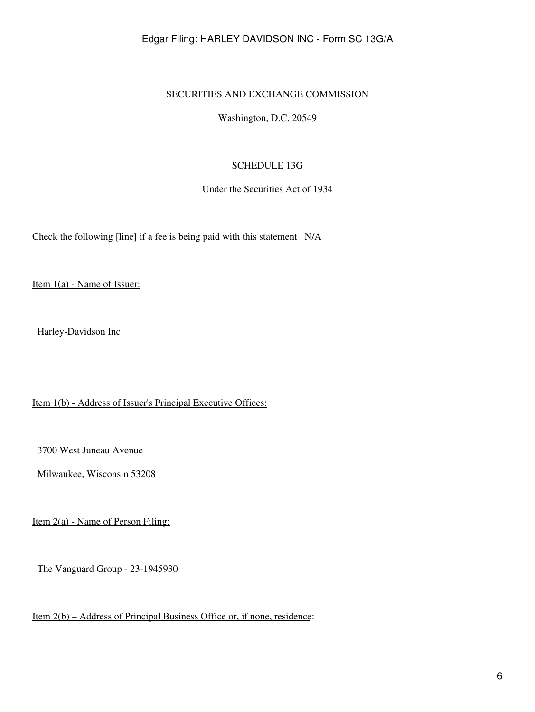#### SECURITIES AND EXCHANGE COMMISSION

Washington, D.C. 20549

#### SCHEDULE 13G

Under the Securities Act of 1934

Check the following [line] if a fee is being paid with this statement N/A

Item 1(a) - Name of Issuer:

Harley-Davidson Inc

Item 1(b) - Address of Issuer's Principal Executive Offices:

3700 West Juneau Avenue

Milwaukee, Wisconsin 53208

Item 2(a) - Name of Person Filing:

The Vanguard Group - 23-1945930

Item 2(b) – Address of Principal Business Office or, if none, residence: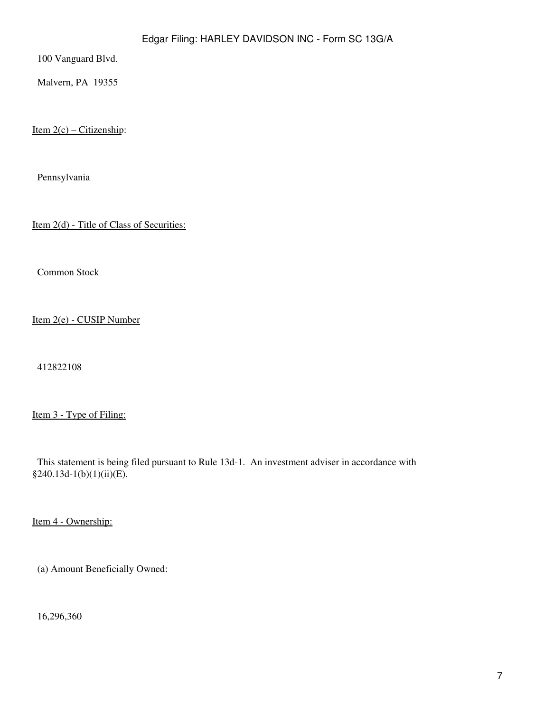100 Vanguard Blvd.

Malvern, PA 19355

Item  $2(c)$  – Citizenship:

Pennsylvania

Item 2(d) - Title of Class of Securities:

Common Stock

Item 2(e) - CUSIP Number

412822108

Item 3 - Type of Filing:

 This statement is being filed pursuant to Rule 13d-1. An investment adviser in accordance with §240.13d-1(b)(1)(ii)(E).

Item 4 - Ownership:

(a) Amount Beneficially Owned:

16,296,360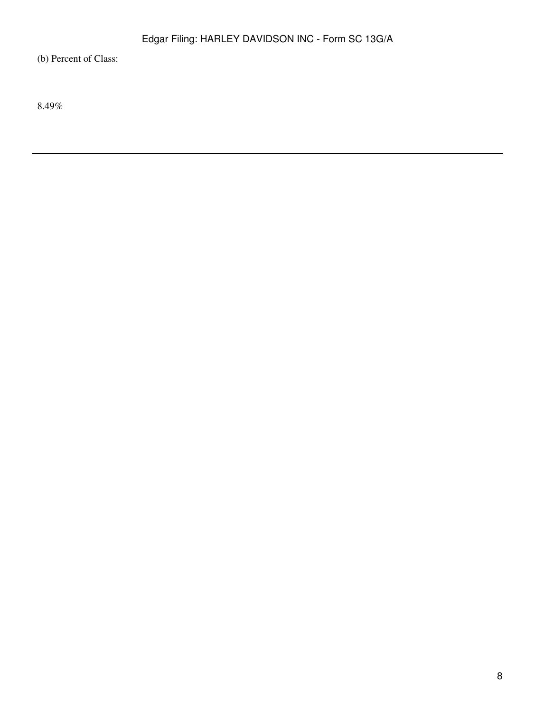(b) Percent of Class:

8.49%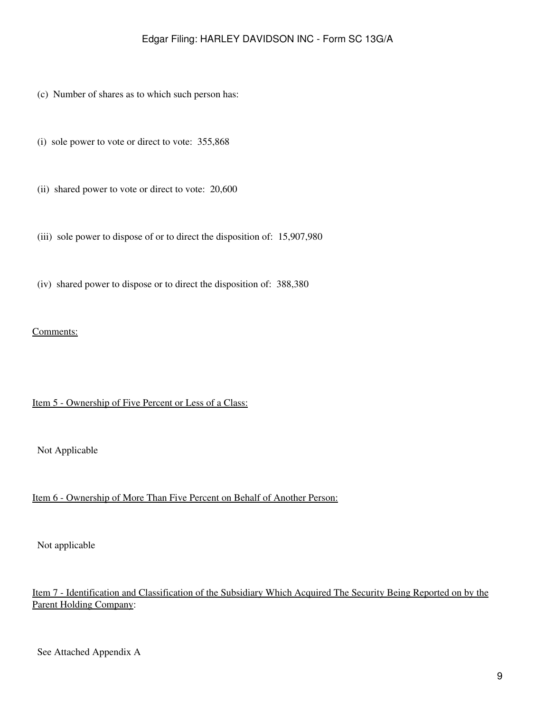- (c) Number of shares as to which such person has:
- (i) sole power to vote or direct to vote: 355,868
- (ii) shared power to vote or direct to vote: 20,600
- (iii) sole power to dispose of or to direct the disposition of: 15,907,980
- (iv) shared power to dispose or to direct the disposition of: 388,380

#### Comments:

#### Item 5 - Ownership of Five Percent or Less of a Class:

Not Applicable

# Item 6 - Ownership of More Than Five Percent on Behalf of Another Person:

Not applicable

# Item 7 - Identification and Classification of the Subsidiary Which Acquired The Security Being Reported on by the Parent Holding Company: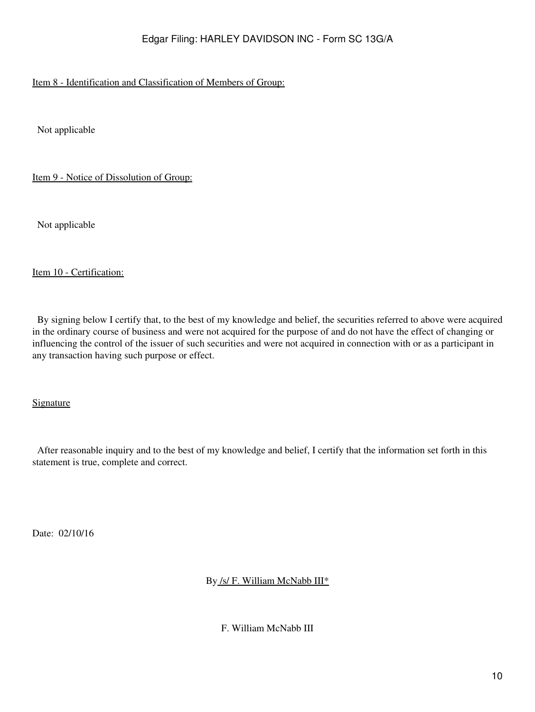# Item 8 - Identification and Classification of Members of Group:

Not applicable

Item 9 - Notice of Dissolution of Group:

Not applicable

#### Item 10 - Certification:

 By signing below I certify that, to the best of my knowledge and belief, the securities referred to above were acquired in the ordinary course of business and were not acquired for the purpose of and do not have the effect of changing or influencing the control of the issuer of such securities and were not acquired in connection with or as a participant in any transaction having such purpose or effect.

Signature

 After reasonable inquiry and to the best of my knowledge and belief, I certify that the information set forth in this statement is true, complete and correct.

Date: 02/10/16

By /s/ F. William McNabb III\*

F. William McNabb III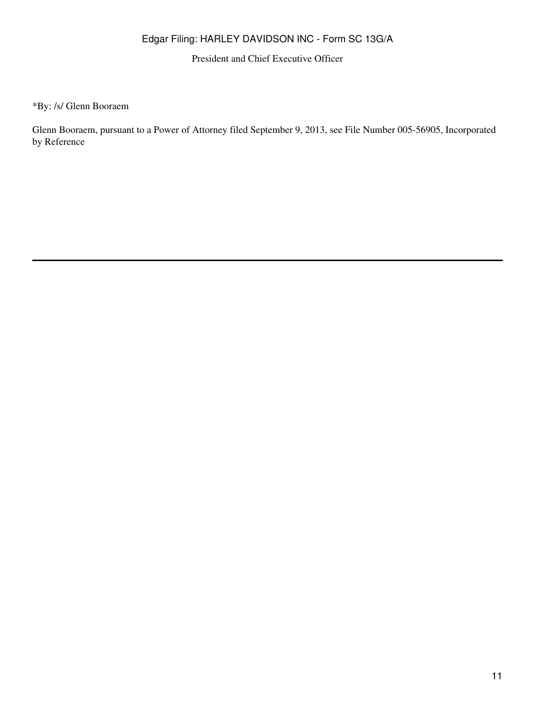President and Chief Executive Officer

\*By: /s/ Glenn Booraem

Glenn Booraem, pursuant to a Power of Attorney filed September 9, 2013, see File Number 005-56905, Incorporated by Reference